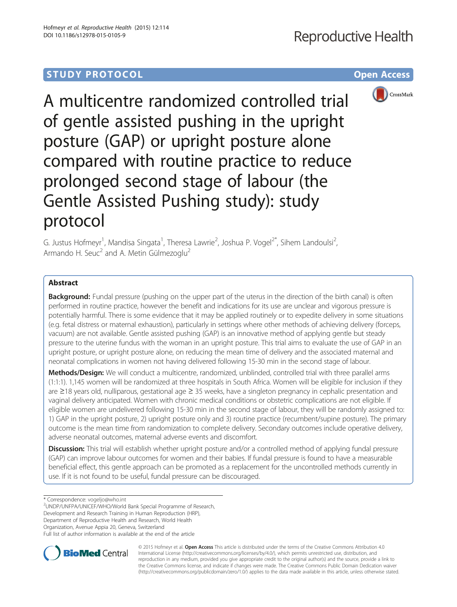# **STUDY PROTOCOL CONSUMING THE CONSUMING OPEN ACCESS**



A multicentre randomized controlled trial of gentle assisted pushing in the upright posture (GAP) or upright posture alone compared with routine practice to reduce prolonged second stage of labour (the Gentle Assisted Pushing study): study protocol

G. Justus Hofmeyr<sup>1</sup>, Mandisa Singata<sup>1</sup>, Theresa Lawrie<sup>2</sup>, Joshua P. Vogel<sup>2\*</sup>, Sihem Landoulsi<sup>2</sup> , Armando H. Seuc<sup>2</sup> and A. Metin Gülmezoglu<sup>2</sup>

# Abstract

Background: Fundal pressure (pushing on the upper part of the uterus in the direction of the birth canal) is often performed in routine practice, however the benefit and indications for its use are unclear and vigorous pressure is potentially harmful. There is some evidence that it may be applied routinely or to expedite delivery in some situations (e.g. fetal distress or maternal exhaustion), particularly in settings where other methods of achieving delivery (forceps, vacuum) are not available. Gentle assisted pushing (GAP) is an innovative method of applying gentle but steady pressure to the uterine fundus with the woman in an upright posture. This trial aims to evaluate the use of GAP in an upright posture, or upright posture alone, on reducing the mean time of delivery and the associated maternal and neonatal complications in women not having delivered following 15-30 min in the second stage of labour.

Methods/Design: We will conduct a multicentre, randomized, unblinded, controlled trial with three parallel arms (1:1:1). 1,145 women will be randomized at three hospitals in South Africa. Women will be eligible for inclusion if they are ≥18 years old, nulliparous, gestational age ≥ 35 weeks, have a singleton pregnancy in cephalic presentation and vaginal delivery anticipated. Women with chronic medical conditions or obstetric complications are not eligible. If eligible women are undelivered following 15-30 min in the second stage of labour, they will be randomly assigned to: 1) GAP in the upright posture, 2) upright posture only and 3) routine practice (recumbent/supine posture). The primary outcome is the mean time from randomization to complete delivery. Secondary outcomes include operative delivery, adverse neonatal outcomes, maternal adverse events and discomfort.

Discussion: This trial will establish whether upright posture and/or a controlled method of applying fundal pressure (GAP) can improve labour outcomes for women and their babies. If fundal pressure is found to have a measurable beneficial effect, this gentle approach can be promoted as a replacement for the uncontrolled methods currently in use. If it is not found to be useful, fundal pressure can be discouraged.

UNDP/UNFPA/UNICEF/WHO/World Bank Special Programme of Research,

Department of Reproductive Health and Research, World Health Organization, Avenue Appia 20, Geneva, Switzerland

Full list of author information is available at the end of the article



© 2015 Hofmeyr et al. Open Access This article is distributed under the terms of the Creative Commons Attribution 4.0 International License [\(http://creativecommons.org/licenses/by/4.0/](http://creativecommons.org/licenses/by/4.0/)), which permits unrestricted use, distribution, and reproduction in any medium, provided you give appropriate credit to the original author(s) and the source, provide a link to the Creative Commons license, and indicate if changes were made. The Creative Commons Public Domain Dedication waiver [\(http://creativecommons.org/publicdomain/zero/1.0/](http://creativecommons.org/publicdomain/zero/1.0/)) applies to the data made available in this article, unless otherwise stated.

<sup>\*</sup> Correspondence: [vogeljo@who.int](mailto:vogeljo@who.int) <sup>2</sup>

Development and Research Training in Human Reproduction (HRP),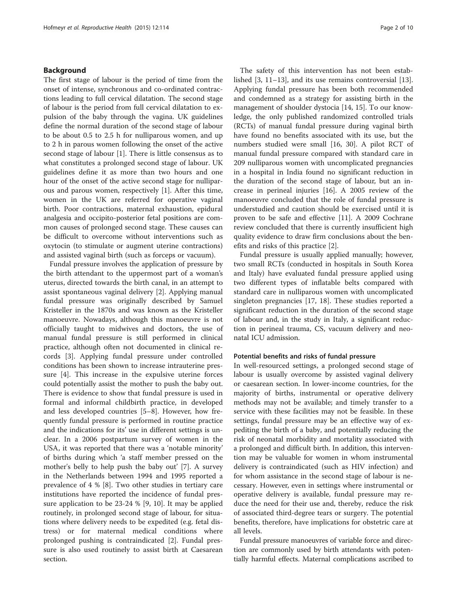# Background

The first stage of labour is the period of time from the onset of intense, synchronous and co-ordinated contractions leading to full cervical dilatation. The second stage of labour is the period from full cervical dilatation to expulsion of the baby through the vagina. UK guidelines define the normal duration of the second stage of labour to be about 0.5 to 2.5 h for nulliparous women, and up to 2 h in parous women following the onset of the active second stage of labour [\[1\]](#page-8-0). There is little consensus as to what constitutes a prolonged second stage of labour. UK guidelines define it as more than two hours and one hour of the onset of the active second stage for nulliparous and parous women, respectively [[1](#page-8-0)]. After this time, women in the UK are referred for operative vaginal birth. Poor contractions, maternal exhaustion, epidural analgesia and occipito-posterior fetal positions are common causes of prolonged second stage. These causes can be difficult to overcome without interventions such as oxytocin (to stimulate or augment uterine contractions) and assisted vaginal birth (such as forceps or vacuum).

Fundal pressure involves the application of pressure by the birth attendant to the uppermost part of a woman's uterus, directed towards the birth canal, in an attempt to assist spontaneous vaginal delivery [\[2](#page-9-0)]. Applying manual fundal pressure was originally described by Samuel Kristeller in the 1870s and was known as the Kristeller manoeuvre. Nowadays, although this manoeuvre is not officially taught to midwives and doctors, the use of manual fundal pressure is still performed in clinical practice, although often not documented in clinical records [[3\]](#page-9-0). Applying fundal pressure under controlled conditions has been shown to increase intrauterine pressure [\[4\]](#page-9-0). This increase in the expulsive uterine forces could potentially assist the mother to push the baby out. There is evidence to show that fundal pressure is used in formal and informal childbirth practice, in developed and less developed countries [\[5](#page-9-0)–[8\]](#page-9-0). However, how frequently fundal pressure is performed in routine practice and the indications for its' use in different settings is unclear. In a 2006 postpartum survey of women in the USA, it was reported that there was a 'notable minority' of births during which 'a staff member pressed on the mother's belly to help push the baby out' [[7\]](#page-9-0). A survey in the Netherlands between 1994 and 1995 reported a prevalence of 4 % [[8\]](#page-9-0). Two other studies in tertiary care institutions have reported the incidence of fundal pressure application to be 23-24 % [[9](#page-9-0), [10\]](#page-9-0). It may be applied routinely, in prolonged second stage of labour, for situations where delivery needs to be expedited (e.g. fetal distress) or for maternal medical conditions where prolonged pushing is contraindicated [\[2](#page-9-0)]. Fundal pressure is also used routinely to assist birth at Caesarean section.

The safety of this intervention has not been established [\[3](#page-9-0), [11](#page-9-0)–[13](#page-9-0)], and its use remains controversial [\[13](#page-9-0)]. Applying fundal pressure has been both recommended and condemned as a strategy for assisting birth in the management of shoulder dystocia [\[14](#page-9-0), [15](#page-9-0)]. To our knowledge, the only published randomized controlled trials (RCTs) of manual fundal pressure during vaginal birth have found no benefits associated with its use, but the numbers studied were small [[16, 30\]](#page-9-0). A pilot RCT of manual fundal pressure compared with standard care in 209 nulliparous women with uncomplicated pregnancies in a hospital in India found no significant reduction in the duration of the second stage of labour, but an increase in perineal injuries [\[16\]](#page-9-0). A 2005 review of the manoeuvre concluded that the role of fundal pressure is understudied and caution should be exercised until it is proven to be safe and effective [\[11](#page-9-0)]. A 2009 Cochrane review concluded that there is currently insufficient high quality evidence to draw firm conclusions about the benefits and risks of this practice [\[2](#page-9-0)].

Fundal pressure is usually applied manually; however, two small RCTs (conducted in hospitals in South Korea and Italy) have evaluated fundal pressure applied using two different types of inflatable belts compared with standard care in nulliparous women with uncomplicated singleton pregnancies [[17, 18](#page-9-0)]. These studies reported a significant reduction in the duration of the second stage of labour and, in the study in Italy, a significant reduction in perineal trauma, CS, vacuum delivery and neonatal ICU admission.

## Potential benefits and risks of fundal pressure

In well-resourced settings, a prolonged second stage of labour is usually overcome by assisted vaginal delivery or caesarean section. In lower-income countries, for the majority of births, instrumental or operative delivery methods may not be available; and timely transfer to a service with these facilities may not be feasible. In these settings, fundal pressure may be an effective way of expediting the birth of a baby, and potentially reducing the risk of neonatal morbidity and mortality associated with a prolonged and difficult birth. In addition, this intervention may be valuable for women in whom instrumental delivery is contraindicated (such as HIV infection) and for whom assistance in the second stage of labour is necessary. However, even in settings where instrumental or operative delivery is available, fundal pressure may reduce the need for their use and, thereby, reduce the risk of associated third-degree tears or surgery. The potential benefits, therefore, have implications for obstetric care at all levels.

Fundal pressure manoeuvres of variable force and direction are commonly used by birth attendants with potentially harmful effects. Maternal complications ascribed to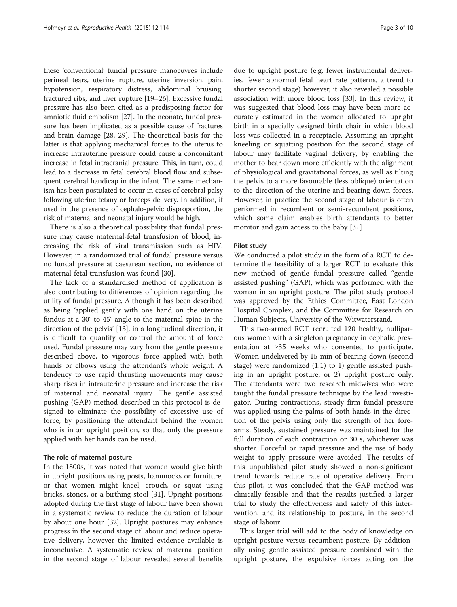these 'conventional' fundal pressure manoeuvres include perineal tears, uterine rupture, uterine inversion, pain, hypotension, respiratory distress, abdominal bruising, fractured ribs, and liver rupture [\[19](#page-9-0)–[26](#page-9-0)]. Excessive fundal pressure has also been cited as a predisposing factor for amniotic fluid embolism [[27](#page-9-0)]. In the neonate, fundal pressure has been implicated as a possible cause of fractures and brain damage [\[28, 29\]](#page-9-0). The theoretical basis for the latter is that applying mechanical forces to the uterus to increase intrauterine pressure could cause a concomitant increase in fetal intracranial pressure. This, in turn, could lead to a decrease in fetal cerebral blood flow and subsequent cerebral handicap in the infant. The same mechanism has been postulated to occur in cases of cerebral palsy following uterine tetany or forceps delivery. In addition, if used in the presence of cephalo-pelvic disproportion, the risk of maternal and neonatal injury would be high.

There is also a theoretical possibility that fundal pressure may cause maternal-fetal transfusion of blood, increasing the risk of viral transmission such as HIV. However, in a randomized trial of fundal pressure versus no fundal pressure at caesarean section, no evidence of maternal-fetal transfusion was found [\[30](#page-9-0)].

The lack of a standardised method of application is also contributing to differences of opinion regarding the utility of fundal pressure. Although it has been described as being 'applied gently with one hand on the uterine fundus at a 30° to 45° angle to the maternal spine in the direction of the pelvis' [\[13](#page-9-0)], in a longitudinal direction, it is difficult to quantify or control the amount of force used. Fundal pressure may vary from the gentle pressure described above, to vigorous force applied with both hands or elbows using the attendant's whole weight. A tendency to use rapid thrusting movements may cause sharp rises in intrauterine pressure and increase the risk of maternal and neonatal injury. The gentle assisted pushing (GAP) method described in this protocol is designed to eliminate the possibility of excessive use of force, by positioning the attendant behind the women who is in an upright position, so that only the pressure applied with her hands can be used.

#### The role of maternal posture

In the 1800s, it was noted that women would give birth in upright positions using posts, hammocks or furniture, or that women might kneel, crouch, or squat using bricks, stones, or a birthing stool [\[31](#page-9-0)]. Upright positions adopted during the first stage of labour have been shown in a systematic review to reduce the duration of labour by about one hour [[32](#page-9-0)]. Upright postures may enhance progress in the second stage of labour and reduce operative delivery, however the limited evidence available is inconclusive. A systematic review of maternal position in the second stage of labour revealed several benefits

due to upright posture (e.g. fewer instrumental deliveries, fewer abnormal fetal heart rate patterns, a trend to shorter second stage) however, it also revealed a possible association with more blood loss [[33\]](#page-9-0). In this review, it was suggested that blood loss may have been more accurately estimated in the women allocated to upright birth in a specially designed birth chair in which blood loss was collected in a receptacle. Assuming an upright kneeling or squatting position for the second stage of labour may facilitate vaginal delivery, by enabling the mother to bear down more efficiently with the alignment of physiological and gravitational forces, as well as tilting the pelvis to a more favourable (less oblique) orientation to the direction of the uterine and bearing down forces. However, in practice the second stage of labour is often performed in recumbent or semi-recumbent positions, which some claim enables birth attendants to better monitor and gain access to the baby [\[31\]](#page-9-0).

#### Pilot study

We conducted a pilot study in the form of a RCT, to determine the feasibility of a larger RCT to evaluate this new method of gentle fundal pressure called "gentle assisted pushing" (GAP), which was performed with the woman in an upright posture. The pilot study protocol was approved by the Ethics Committee, East London Hospital Complex, and the Committee for Research on Human Subjects, University of the Witwatersrand.

This two-armed RCT recruited 120 healthy, nulliparous women with a singleton pregnancy in cephalic presentation at ≥35 weeks who consented to participate. Women undelivered by 15 min of bearing down (second stage) were randomized (1:1) to 1) gentle assisted pushing in an upright posture, or 2) upright posture only. The attendants were two research midwives who were taught the fundal pressure technique by the lead investigator. During contractions, steady firm fundal pressure was applied using the palms of both hands in the direction of the pelvis using only the strength of her forearms. Steady, sustained pressure was maintained for the full duration of each contraction or 30 s, whichever was shorter. Forceful or rapid pressure and the use of body weight to apply pressure were avoided. The results of this unpublished pilot study showed a non-significant trend towards reduce rate of operative delivery. From this pilot, it was concluded that the GAP method was clinically feasible and that the results justified a larger trial to study the effectiveness and safety of this intervention, and its relationship to posture, in the second stage of labour.

This larger trial will add to the body of knowledge on upright posture versus recumbent posture. By additionally using gentle assisted pressure combined with the upright posture, the expulsive forces acting on the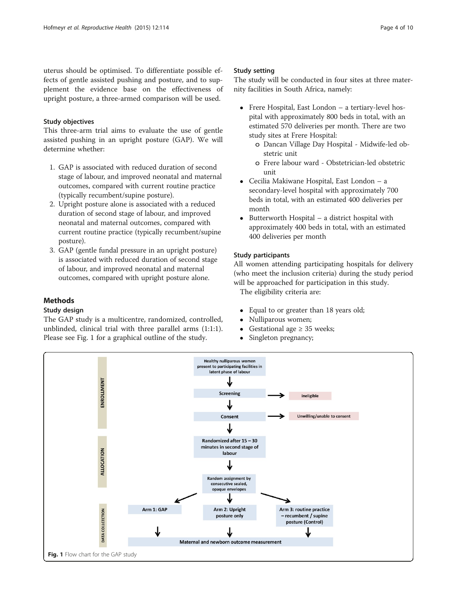uterus should be optimised. To differentiate possible effects of gentle assisted pushing and posture, and to supplement the evidence base on the effectiveness of upright posture, a three-armed comparison will be used.

# Study objectives

This three-arm trial aims to evaluate the use of gentle assisted pushing in an upright posture (GAP). We will determine whether:

- 1. GAP is associated with reduced duration of second stage of labour, and improved neonatal and maternal outcomes, compared with current routine practice (typically recumbent/supine posture).
- 2. Upright posture alone is associated with a reduced duration of second stage of labour, and improved neonatal and maternal outcomes, compared with current routine practice (typically recumbent/supine posture).
- 3. GAP (gentle fundal pressure in an upright posture) is associated with reduced duration of second stage of labour, and improved neonatal and maternal outcomes, compared with upright posture alone.

# Methods

# Study design

The GAP study is a multicentre, randomized, controlled, unblinded, clinical trial with three parallel arms (1:1:1). Please see Fig. 1 for a graphical outline of the study.

# Study setting

The study will be conducted in four sites at three maternity facilities in South Africa, namely:

- Frere Hospital, East London a tertiary-level hospital with approximately 800 beds in total, with an estimated 570 deliveries per month. There are two study sites at Frere Hospital:
	- o Dancan Village Day Hospital Midwife-led obstetric unit
	- o Frere labour ward Obstetrician-led obstetric unit
- Cecilia Makiwane Hospital, East London a secondary-level hospital with approximately 700 beds in total, with an estimated 400 deliveries per month
- Butterworth Hospital a district hospital with approximately 400 beds in total, with an estimated 400 deliveries per month

# Study participants

All women attending participating hospitals for delivery (who meet the inclusion criteria) during the study period will be approached for participation in this study.

The eligibility criteria are:

- Equal to or greater than 18 years old;
- Nulliparous women;<br>• Gestational age  $> 35$
- Gestational age  $\geq$  35 weeks;
- Singleton pregnancy;

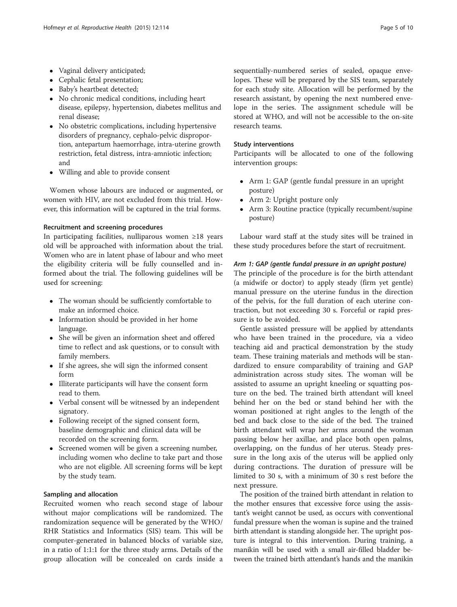- Vaginal delivery anticipated;
- Cephalic fetal presentation;
- Baby's heartbeat detected;
- No chronic medical conditions, including heart disease, epilepsy, hypertension, diabetes mellitus and renal disease;
- No obstetric complications, including hypertensive disorders of pregnancy, cephalo-pelvic disproportion, antepartum haemorrhage, intra-uterine growth restriction, fetal distress, intra-amniotic infection; and
- Willing and able to provide consent

Women whose labours are induced or augmented, or women with HIV, are not excluded from this trial. However, this information will be captured in the trial forms.

# Recruitment and screening procedures

In participating facilities, nulliparous women ≥18 years old will be approached with information about the trial. Women who are in latent phase of labour and who meet the eligibility criteria will be fully counselled and informed about the trial. The following guidelines will be used for screening:

- The woman should be sufficiently comfortable to make an informed choice.
- Information should be provided in her home language.
- She will be given an information sheet and offered time to reflect and ask questions, or to consult with family members.
- If she agrees, she will sign the informed consent form
- Illiterate participants will have the consent form read to them.
- Verbal consent will be witnessed by an independent signatory.
- Following receipt of the signed consent form, baseline demographic and clinical data will be recorded on the screening form.
- Screened women will be given a screening number, including women who decline to take part and those who are not eligible. All screening forms will be kept by the study team.

# Sampling and allocation

Recruited women who reach second stage of labour without major complications will be randomized. The randomization sequence will be generated by the WHO/ RHR Statistics and Informatics (SIS) team. This will be computer-generated in balanced blocks of variable size, in a ratio of 1:1:1 for the three study arms. Details of the group allocation will be concealed on cards inside a sequentially-numbered series of sealed, opaque envelopes. These will be prepared by the SIS team, separately for each study site. Allocation will be performed by the research assistant, by opening the next numbered envelope in the series. The assignment schedule will be stored at WHO, and will not be accessible to the on-site research teams.

# Study interventions

Participants will be allocated to one of the following intervention groups:

- Arm 1: GAP (gentle fundal pressure in an upright posture)
- Arm 2: Upright posture only
- Arm 3: Routine practice (typically recumbent/supine posture)

Labour ward staff at the study sites will be trained in these study procedures before the start of recruitment.

# Arm 1: GAP (gentle fundal pressure in an upright posture)

The principle of the procedure is for the birth attendant (a midwife or doctor) to apply steady (firm yet gentle) manual pressure on the uterine fundus in the direction of the pelvis, for the full duration of each uterine contraction, but not exceeding 30 s. Forceful or rapid pressure is to be avoided.

Gentle assisted pressure will be applied by attendants who have been trained in the procedure, via a video teaching aid and practical demonstration by the study team. These training materials and methods will be standardized to ensure comparability of training and GAP administration across study sites. The woman will be assisted to assume an upright kneeling or squatting posture on the bed. The trained birth attendant will kneel behind her on the bed or stand behind her with the woman positioned at right angles to the length of the bed and back close to the side of the bed. The trained birth attendant will wrap her arms around the woman passing below her axillae, and place both open palms, overlapping, on the fundus of her uterus. Steady pressure in the long axis of the uterus will be applied only during contractions. The duration of pressure will be limited to 30 s, with a minimum of 30 s rest before the next pressure.

The position of the trained birth attendant in relation to the mother ensures that excessive force using the assistant's weight cannot be used, as occurs with conventional fundal pressure when the woman is supine and the trained birth attendant is standing alongside her. The upright posture is integral to this intervention. During training, a manikin will be used with a small air-filled bladder between the trained birth attendant's hands and the manikin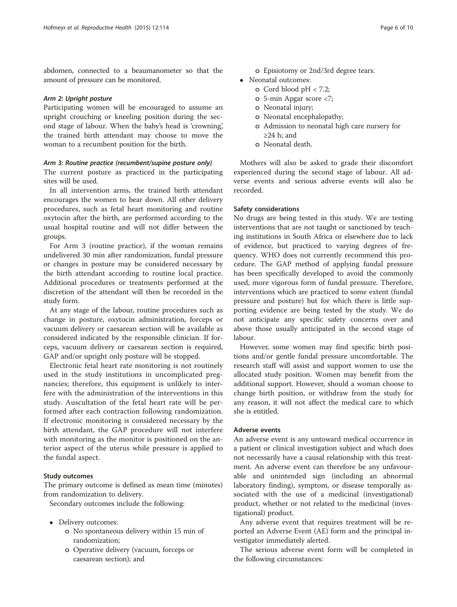abdomen, connected to a beaumanometer so that the amount of pressure can be monitored.

#### Arm 2: Upright posture

Participating women will be encouraged to assume an upright crouching or kneeling position during the second stage of labour. When the baby's head is 'crowning', the trained birth attendant may choose to move the woman to a recumbent position for the birth.

#### Arm 3: Routine practice (recumbent/supine posture only)

The current posture as practiced in the participating sites will be used.

In all intervention arms, the trained birth attendant encourages the women to bear down. All other delivery procedures, such as fetal heart monitoring and routine oxytocin after the birth, are performed according to the usual hospital routine and will not differ between the groups.

For Arm 3 (routine practice), if the woman remains undelivered 30 min after randomization, fundal pressure or changes in posture may be considered necessary by the birth attendant according to routine local practice. Additional procedures or treatments performed at the discretion of the attendant will then be recorded in the study form.

At any stage of the labour, routine procedures such as change in posture, oxytocin administration, forceps or vacuum delivery or caesarean section will be available as considered indicated by the responsible clinician. If forceps, vacuum delivery or caesarean section is required, GAP and/or upright only posture will be stopped.

Electronic fetal heart rate monitoring is not routinely used in the study institutions in uncomplicated pregnancies; therefore, this equipment is unlikely to interfere with the administration of the interventions in this study. Auscultation of the fetal heart rate will be performed after each contraction following randomization. If electronic monitoring is considered necessary by the birth attendant, the GAP procedure will not interfere with monitoring as the monitor is positioned on the anterior aspect of the uterus while pressure is applied to the fundal aspect.

# Study outcomes

The primary outcome is defined as mean time (minutes) from randomization to delivery.

Secondary outcomes include the following:

- Delivery outcomes:
	- o No spontaneous delivery within 15 min of randomization;
	- o Operative delivery (vacuum, forceps or caesarean section); and
- o Episiotomy or 2nd/3rd degree tears.
- Neonatal outcomes:
	- o Cord blood pH < 7.2;
	- o 5-min Apgar score <7;
	- o Neonatal injury;
	- o Neonatal encephalopathy;
	- o Admission to neonatal high care nursery for ≥24 h; and
	- o Neonatal death.

Mothers will also be asked to grade their discomfort experienced during the second stage of labour. All adverse events and serious adverse events will also be recorded.

# Safety considerations

No drugs are being tested in this study. We are testing interventions that are not taught or sanctioned by teaching institutions in South Africa or elsewhere due to lack of evidence, but practiced to varying degrees of frequency. WHO does not currently recommend this procedure. The GAP method of applying fundal pressure has been specifically developed to avoid the commonly used, more vigorous form of fundal pressure. Therefore, interventions which are practiced to some extent (fundal pressure and posture) but for which there is little supporting evidence are being tested by the study. We do not anticipate any specific safety concerns over and above those usually anticipated in the second stage of labour.

However, some women may find specific birth positions and/or gentle fundal pressure uncomfortable. The research staff will assist and support women to use the allocated study position. Women may benefit from the additional support. However, should a woman choose to change birth position, or withdraw from the study for any reason, it will not affect the medical care to which she is entitled.

# Adverse events

An adverse event is any untoward medical occurrence in a patient or clinical investigation subject and which does not necessarily have a causal relationship with this treatment. An adverse event can therefore be any unfavourable and unintended sign (including an abnormal laboratory finding), symptom, or disease temporally associated with the use of a medicinal (investigational) product, whether or not related to the medicinal (investigational) product.

Any adverse event that requires treatment will be reported an Adverse Event (AE) form and the principal investigator immediately alerted.

The serious adverse event form will be completed in the following circumstances: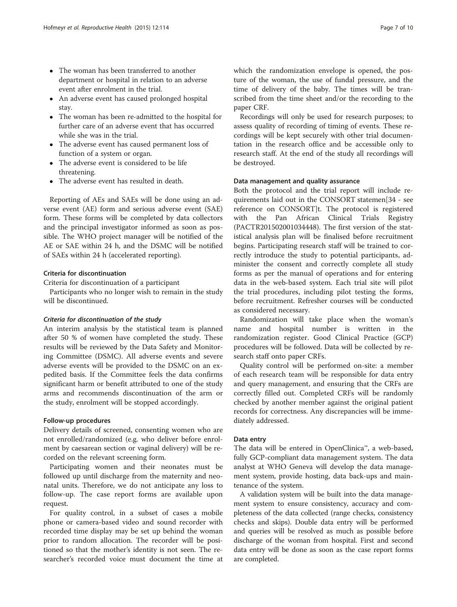- The woman has been transferred to another department or hospital in relation to an adverse event after enrolment in the trial.
- An adverse event has caused prolonged hospital stay.
- The woman has been re-admitted to the hospital for further care of an adverse event that has occurred while she was in the trial.
- The adverse event has caused permanent loss of function of a system or organ.
- The adverse event is considered to be life threatening.
- The adverse event has resulted in death.

Reporting of AEs and SAEs will be done using an adverse event (AE) form and serious adverse event (SAE) form. These forms will be completed by data collectors and the principal investigator informed as soon as possible. The WHO project manager will be notified of the AE or SAE within 24 h, and the DSMC will be notified of SAEs within 24 h (accelerated reporting).

#### Criteria for discontinuation

Criteria for discontinuation of a participant

Participants who no longer wish to remain in the study will be discontinued.

#### Criteria for discontinuation of the study

An interim analysis by the statistical team is planned after 50 % of women have completed the study. These results will be reviewed by the Data Safety and Monitoring Committee (DSMC). All adverse events and severe adverse events will be provided to the DSMC on an expedited basis. If the Committee feels the data confirms significant harm or benefit attributed to one of the study arms and recommends discontinuation of the arm or the study, enrolment will be stopped accordingly.

#### Follow-up procedures

Delivery details of screened, consenting women who are not enrolled/randomized (e.g. who deliver before enrolment by caesarean section or vaginal delivery) will be recorded on the relevant screening form.

Participating women and their neonates must be followed up until discharge from the maternity and neonatal units. Therefore, we do not anticipate any loss to follow-up. The case report forms are available upon request.

For quality control, in a subset of cases a mobile phone or camera-based video and sound recorder with recorded time display may be set up behind the woman prior to random allocation. The recorder will be positioned so that the mother's identity is not seen. The researcher's recorded voice must document the time at which the randomization envelope is opened, the posture of the woman, the use of fundal pressure, and the time of delivery of the baby. The times will be transcribed from the time sheet and/or the recording to the paper CRF.

Recordings will only be used for research purposes; to assess quality of recording of timing of events. These recordings will be kept securely with other trial documentation in the research office and be accessible only to research staff. At the end of the study all recordings will be destroyed.

#### Data management and quality assurance

Both the protocol and the trial report will include requirements laid out in the CONSORT statemen[[34](#page-9-0) - see reference on CONSORT]t. The protocol is registered with the Pan African Clinical Trials Registry (PACTR201502001034448). The first version of the statistical analysis plan will be finalised before recruitment begins. Participating research staff will be trained to correctly introduce the study to potential participants, administer the consent and correctly complete all study forms as per the manual of operations and for entering data in the web-based system. Each trial site will pilot the trial procedures, including pilot testing the forms, before recruitment. Refresher courses will be conducted as considered necessary.

Randomization will take place when the woman's name and hospital number is written in the randomization register. Good Clinical Practice (GCP) procedures will be followed. Data will be collected by research staff onto paper CRFs.

Quality control will be performed on-site: a member of each research team will be responsible for data entry and query management, and ensuring that the CRFs are correctly filled out. Completed CRFs will be randomly checked by another member against the original patient records for correctness. Any discrepancies will be immediately addressed.

### Data entry

The data will be entered in OpenClinica™, a web-based, fully GCP-compliant data management system. The data analyst at WHO Geneva will develop the data management system, provide hosting, data back-ups and maintenance of the system.

A validation system will be built into the data management system to ensure consistency, accuracy and completeness of the data collected (range checks, consistency checks and skips). Double data entry will be performed and queries will be resolved as much as possible before discharge of the woman from hospital. First and second data entry will be done as soon as the case report forms are completed.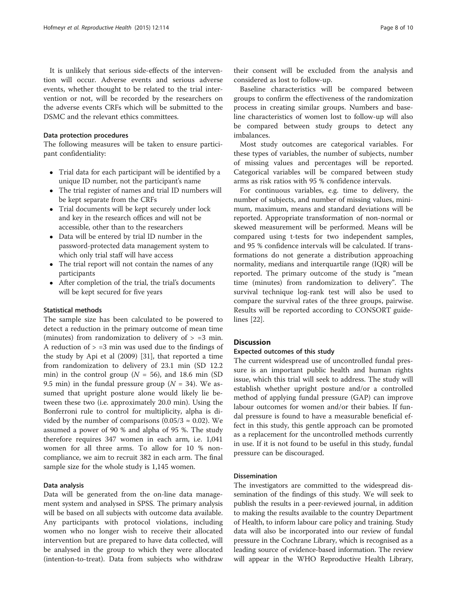It is unlikely that serious side-effects of the intervention will occur. Adverse events and serious adverse events, whether thought to be related to the trial intervention or not, will be recorded by the researchers on the adverse events CRFs which will be submitted to the DSMC and the relevant ethics committees.

### Data protection procedures

The following measures will be taken to ensure participant confidentiality:

- Trial data for each participant will be identified by a unique ID number, not the participant's name
- The trial register of names and trial ID numbers will be kept separate from the CRFs
- Trial documents will be kept securely under lock and key in the research offices and will not be accessible, other than to the researchers
- Data will be entered by trial ID number in the password-protected data management system to which only trial staff will have access
- The trial report will not contain the names of any participants
- After completion of the trial, the trial's documents will be kept secured for five years

# Statistical methods

The sample size has been calculated to be powered to detect a reduction in the primary outcome of mean time (minutes) from randomization to delivery of  $> =3$  min. A reduction of  $> =3$  min was used due to the findings of the study by Api et al (2009) [\[31](#page-9-0)], that reported a time from randomization to delivery of 23.1 min (SD 12.2 min) in the control group ( $N = 56$ ), and 18.6 min (SD 9.5 min) in the fundal pressure group ( $N = 34$ ). We assumed that upright posture alone would likely lie between these two (i.e. approximately 20.0 min). Using the Bonferroni rule to control for multiplicity, alpha is divided by the number of comparisons (0.05/3  $\approx$  0.02). We assumed a power of 90 % and alpha of 95 %. The study therefore requires 347 women in each arm, i.e. 1,041 women for all three arms. To allow for 10 % noncompliance, we aim to recruit 382 in each arm. The final sample size for the whole study is 1,145 women.

### Data analysis

Data will be generated from the on-line data management system and analysed in SPSS. The primary analysis will be based on all subjects with outcome data available. Any participants with protocol violations, including women who no longer wish to receive their allocated intervention but are prepared to have data collected, will be analysed in the group to which they were allocated (intention-to-treat). Data from subjects who withdraw

their consent will be excluded from the analysis and considered as lost to follow-up.

Baseline characteristics will be compared between groups to confirm the effectiveness of the randomization process in creating similar groups. Numbers and baseline characteristics of women lost to follow-up will also be compared between study groups to detect any imbalances.

Most study outcomes are categorical variables. For these types of variables, the number of subjects, number of missing values and percentages will be reported. Categorical variables will be compared between study arms as risk ratios with 95 % confidence intervals.

For continuous variables, e.g. time to delivery, the number of subjects, and number of missing values, minimum, maximum, means and standard deviations will be reported. Appropriate transformation of non-normal or skewed measurement will be performed. Means will be compared using t-tests for two independent samples, and 95 % confidence intervals will be calculated. If transformations do not generate a distribution approaching normality, medians and interquartile range (IQR) will be reported. The primary outcome of the study is "mean time (minutes) from randomization to delivery". The survival technique log-rank test will also be used to compare the survival rates of the three groups, pairwise. Results will be reported according to CONSORT guidelines [[22](#page-9-0)].

#### Discussion

# Expected outcomes of this study

The current widespread use of uncontrolled fundal pressure is an important public health and human rights issue, which this trial will seek to address. The study will establish whether upright posture and/or a controlled method of applying fundal pressure (GAP) can improve labour outcomes for women and/or their babies. If fundal pressure is found to have a measurable beneficial effect in this study, this gentle approach can be promoted as a replacement for the uncontrolled methods currently in use. If it is not found to be useful in this study, fundal pressure can be discouraged.

# Dissemination

The investigators are committed to the widespread dissemination of the findings of this study. We will seek to publish the results in a peer-reviewed journal, in addition to making the results available to the country Department of Health, to inform labour care policy and training. Study data will also be incorporated into our review of fundal pressure in the Cochrane Library, which is recognised as a leading source of evidence-based information. The review will appear in the WHO Reproductive Health Library,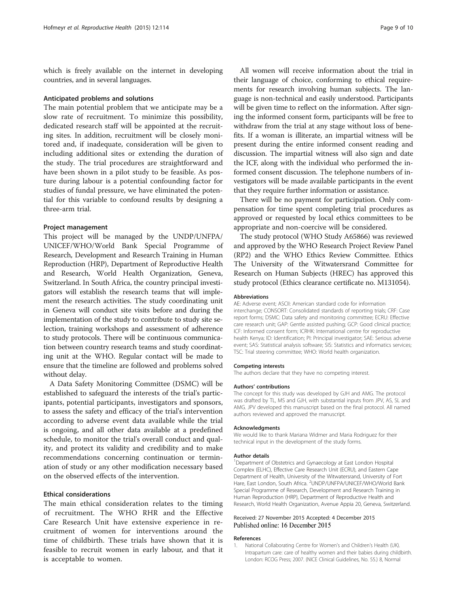<span id="page-8-0"></span>which is freely available on the internet in developing countries, and in several languages.

#### Anticipated problems and solutions

The main potential problem that we anticipate may be a slow rate of recruitment. To minimize this possibility, dedicated research staff will be appointed at the recruiting sites. In addition, recruitment will be closely monitored and, if inadequate, consideration will be given to including additional sites or extending the duration of the study. The trial procedures are straightforward and have been shown in a pilot study to be feasible. As posture during labour is a potential confounding factor for studies of fundal pressure, we have eliminated the potential for this variable to confound results by designing a three-arm trial.

#### Project management

This project will be managed by the UNDP/UNFPA/ UNICEF/WHO/World Bank Special Programme of Research, Development and Research Training in Human Reproduction (HRP), Department of Reproductive Health and Research, World Health Organization, Geneva, Switzerland. In South Africa, the country principal investigators will establish the research teams that will implement the research activities. The study coordinating unit in Geneva will conduct site visits before and during the implementation of the study to contribute to study site selection, training workshops and assessment of adherence to study protocols. There will be continuous communication between country research teams and study coordinating unit at the WHO. Regular contact will be made to ensure that the timeline are followed and problems solved without delay.

A Data Safety Monitoring Committee (DSMC) will be established to safeguard the interests of the trial's participants, potential participants, investigators and sponsors, to assess the safety and efficacy of the trial's intervention according to adverse event data available while the trial is ongoing, and all other data available at a predefined schedule, to monitor the trial's overall conduct and quality, and protect its validity and credibility and to make recommendations concerning continuation or termination of study or any other modification necessary based on the observed effects of the intervention.

# Ethical considerations

The main ethical consideration relates to the timing of recruitment. The WHO RHR and the Effective Care Research Unit have extensive experience in recruitment of women for interventions around the time of childbirth. These trials have shown that it is feasible to recruit women in early labour, and that it is acceptable to women.

All women will receive information about the trial in their language of choice, conforming to ethical requirements for research involving human subjects. The language is non-technical and easily understood. Participants will be given time to reflect on the information. After signing the informed consent form, participants will be free to withdraw from the trial at any stage without loss of benefits. If a woman is illiterate, an impartial witness will be present during the entire informed consent reading and discussion. The impartial witness will also sign and date the ICF, along with the individual who performed the informed consent discussion. The telephone numbers of investigators will be made available participants in the event that they require further information or assistance.

There will be no payment for participation. Only compensation for time spent completing trial procedures as approved or requested by local ethics committees to be appropriate and non-coercive will be considered.

The study protocol (WHO Study A65866) was reviewed and approved by the WHO Research Project Review Panel (RP2) and the WHO Ethics Review Committee. Ethics The University of the Witwatersrand Committee for Research on Human Subjects (HREC) has approved this study protocol (Ethics clearance certificate no. M131054).

#### Abbreviations

AE: Adverse event; ASCII: American standard code for information interchange; CONSORT: Consolidated standards of reporting trials; CRF: Case report forms; DSMC: Data safety and monitoring committee; ECRU: Effective care research unit; GAP: Gentle assisted pushing; GCP: Good clinical practice; ICF: Informed consent form; ICRHK: International centre for reproductive health Kenya; ID: Identification; PI: Principal investigator; SAE: Serious adverse event; SAS: Statistical analysis software; SIS: Statistics and informatics services; TSC: Trial steering committee; WHO: World health organization.

#### Competing interests

The authors declare that they have no competing interest.

#### Authors' contributions

The concept for this study was developed by GJH and AMG. The protocol was drafted by TL, MS and GJH, with substantial inputs from JPV, AS, SL and AMG. JPV developed this manuscript based on the final protocol. All named authors reviewed and approved the manuscript.

#### Acknowledgments

We would like to thank Mariana Widmer and Maria Rodriguez for their technical input in the development of the study forms.

#### Author details

<sup>1</sup>Department of Obstetrics and Gynaecology at East London Hospital Complex (ELHC), Effective Care Research Unit (ECRU), and Eastern Cape Department of Health, University of the Witwatersrand, University of Fort Hare, East London, South Africa. <sup>2</sup>UNDP/UNFPA/UNICEF/WHO/World Bank Special Programme of Research, Development and Research Training in Human Reproduction (HRP), Department of Reproductive Health and Research, World Health Organization, Avenue Appia 20, Geneva, Switzerland.

#### Received: 27 November 2015 Accepted: 4 December 2015 Published online: 16 December 2015

#### References

National Collaborating Centre for Women's and Children's Health (UK). Intrapartum care: care of healthy women and their babies during childbirth. London: RCOG Press; 2007. (NICE Clinical Guidelines, No. 55.) 8, Normal